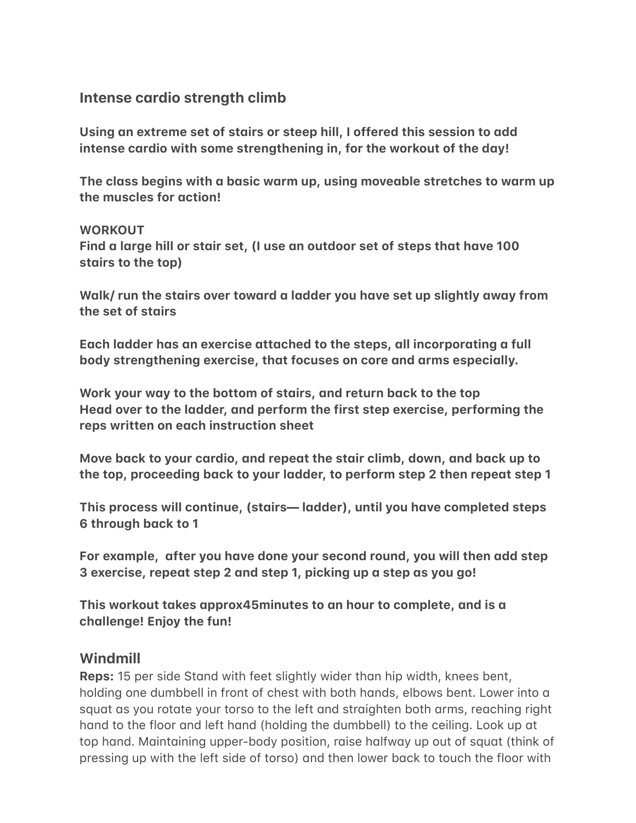## **Intense cardio strength climb**

Using an extreme set of stairs or steep hill, I offered this session to add intense cardio with some strengthening in, for the workout of the day!

The class begins with a basic warm up, using moveable stretches to warm up the muscles for action!

#### **WORKOUT**

Find a large hill or stair set, (I use an outdoor set of steps that have 100 stairs to the top)

Walk/ run the stairs over toward a ladder you have set up slightly away from the set of stairs

Each ladder has an exercise attached to the steps, all incorporating a full body strengthening exercise, that focuses on core and arms especially.

Work your way to the bottom of stairs, and return back to the top **Head over to the ladder, and perform the first step exercise, performing the reps written on each instruction sheet** 

Move back to your cardio, and repeat the stair climb, down, and back up to the top, proceeding back to your ladder, to perform step 2 then repeat step 1

This process will continue, (stairs— ladder), until you have completed steps **6 through back to 1** 

For example, after you have done your second round, you will then add step 3 exercise, repeat step 2 and step 1, picking up a step as you go!

This workout takes approx45minutes to an hour to complete, and is a challenge! Enjoy the fun!

#### **Windmill**

**Reps:** 15 per side Stand with feet slightly wider than hip width, knees bent, holding one dumbbell in front of chest with both hands, elbows bent. Lower into a squat as you rotate your torso to the left and straighten both arms, reaching right hand to the floor and left hand (holding the dumbbell) to the ceiling. Look up at top hand. Maintaining upper-body position, raise halfway up out of squat (think of pressing up with the left side of torso) and then lower back to touch the floor with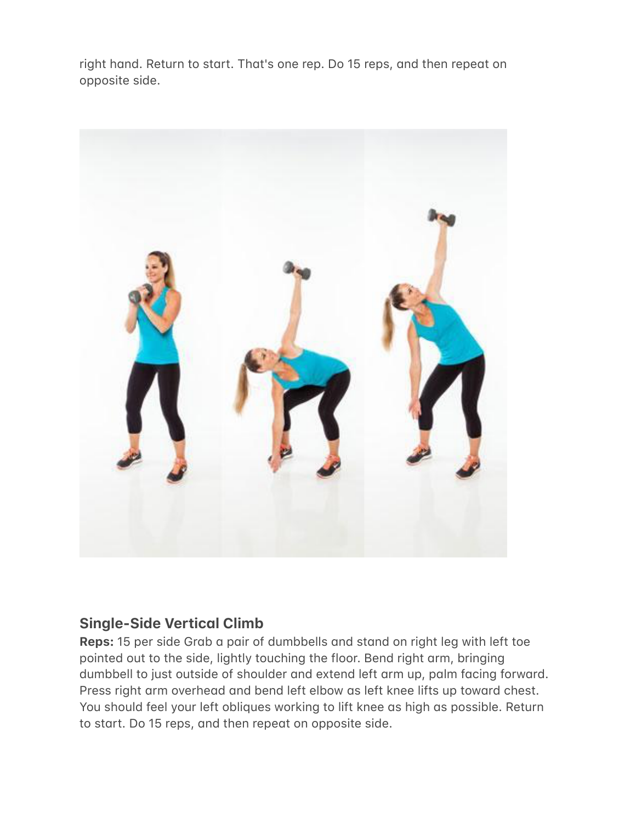right hand. Return to start. That's one rep. Do 15 reps, and then repeat on opposite side.



## **Single-Side Vertical Climb**

**Reps:** 15 per side Grab a pair of dumbbells and stand on right leg with left toe pointed out to the side, lightly touching the floor. Bend right arm, bringing dumbbell to just outside of shoulder and extend left arm up, palm facing forward. Press right arm overhead and bend left elbow as left knee lifts up toward chest. You should feel your left obliques working to lift knee as high as possible. Return to start. Do 15 reps, and then repeat on opposite side.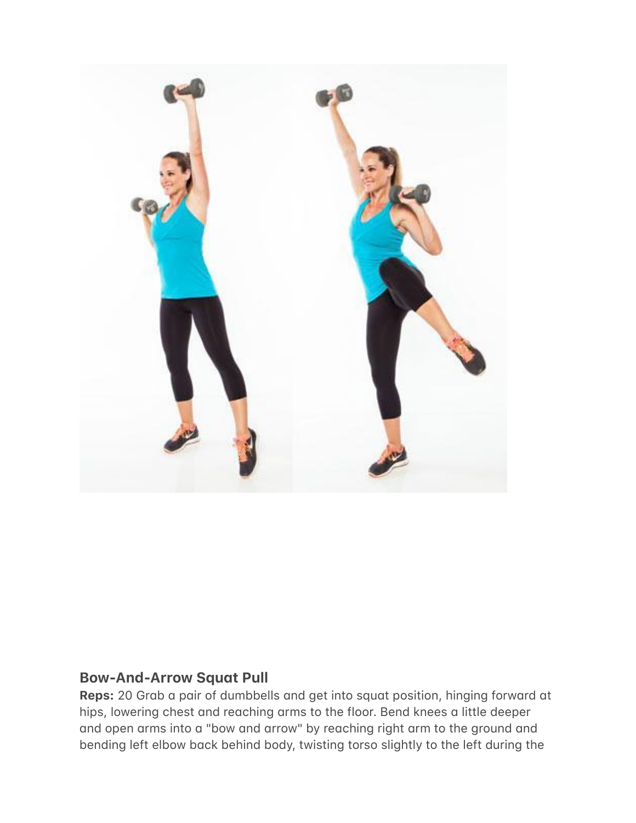

#### **Bow-And-Arrow Squat Pull**

**Reps:** 20 Grab a pair of dumbbells and get into squat position, hinging forward at hips, lowering chest and reaching arms to the floor. Bend knees a little deeper and open arms into a "bow and arrow" by reaching right arm to the ground and bending left elbow back behind body, twisting torso slightly to the left during the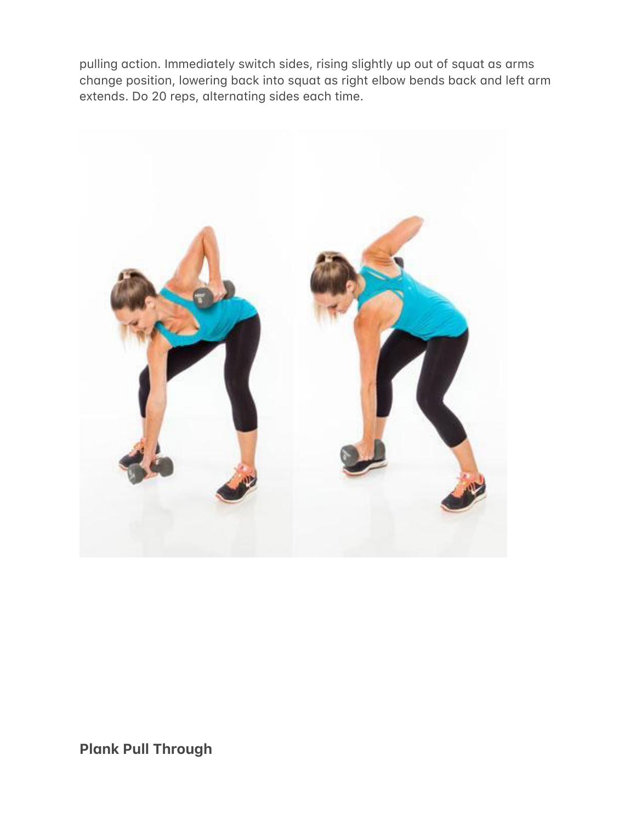pulling action. Immediately switch sides, rising slightly up out of squat as arms change position, lowering back into squat as right elbow bends back and left arm extends. Do 20 reps, alternating sides each time.



**Plank Pull Through**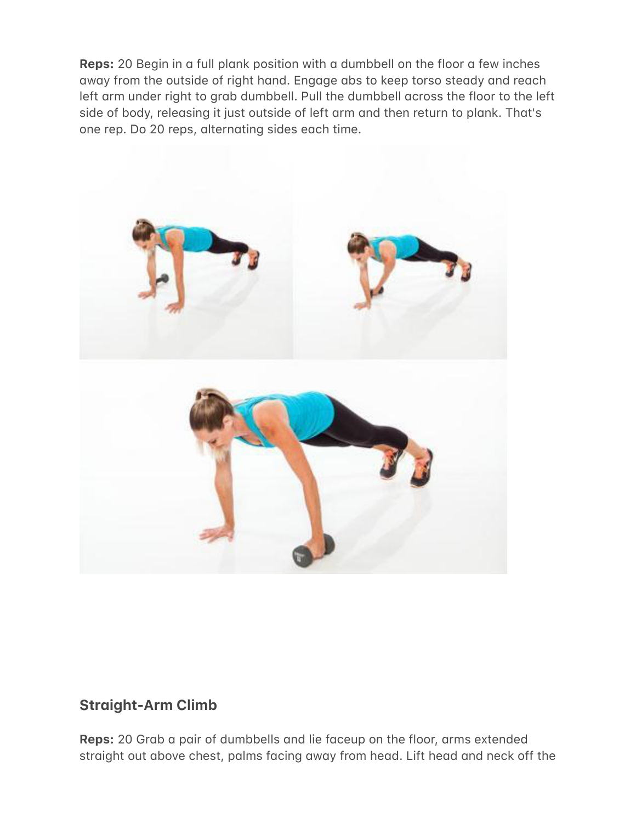**Reps:** 20 Begin in a full plank position with a dumbbell on the floor a few inches away from the outside of right hand. Engage abs to keep torso steady and reach left arm under right to grab dumbbell. Pull the dumbbell across the floor to the left side of body, releasing it just outside of left arm and then return to plank. That's one rep. Do 20 reps, alternating sides each time.



## **Straight-Arm Climb**

**Reps:** 20 Grab a pair of dumbbells and lie faceup on the floor, arms extended straight out above chest, palms facing away from head. Lift head and neck off the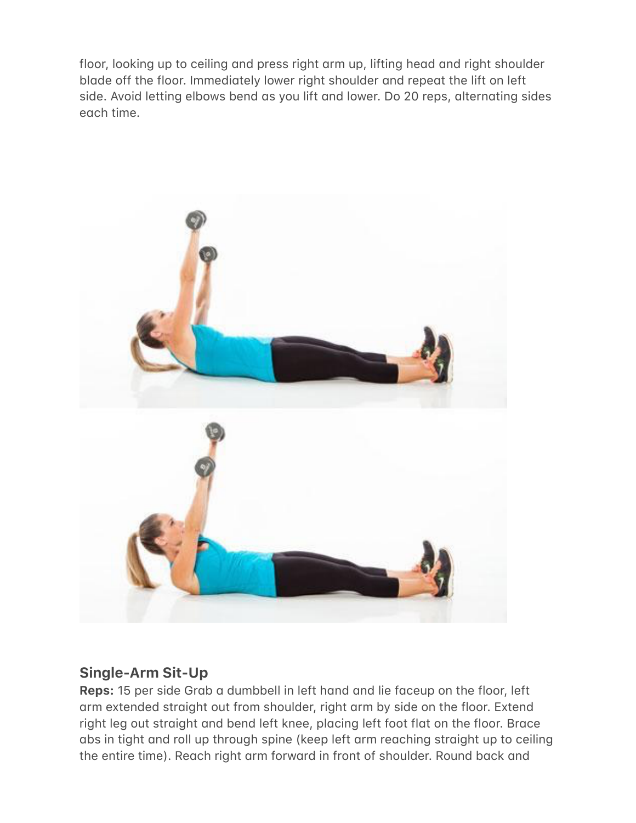floor, looking up to ceiling and press right arm up, lifting head and right shoulder blade off the floor. Immediately lower right shoulder and repeat the lift on left side. Avoid letting elbows bend as you lift and lower. Do 20 reps, alternating sides egch time.



# **Single-Arm Sit-Up**

**Reps:** 15 per side Grab a dumbbell in left hand and lie faceup on the floor, left arm extended straight out from shoulder, right arm by side on the floor. Extend right leg out straight and bend left knee, placing left foot flat on the floor. Brace abs in tight and roll up through spine (keep left arm reaching straight up to ceiling the entire time). Reach right arm forward in front of shoulder. Round back and